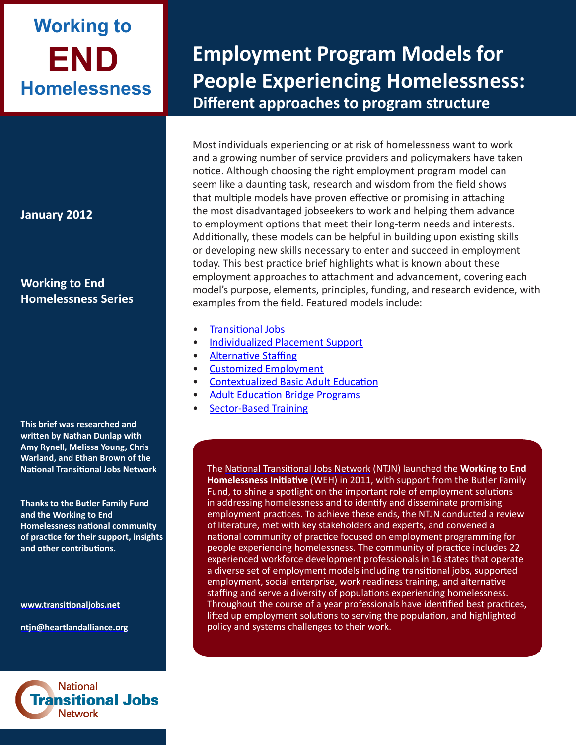# **END Working to Homelessness**

**January 2012**

**Working to End Homelessness Series**

**This brief was researched and written by Nathan Dunlap with Amy Rynell, Melissa Young, Chris Warland, and Ethan Brown of the National Transitional Jobs Network** 

**Thanks to the Butler Family Fund and the Working to End Homelessness national community of practice for their support, insights and other contributions.**

**<www.transitionaljobs.net>**

**ntjn[@heartlandalliance.o](mailto:ntjn@heartlandalliance.org)rg**



## **Employment Program Models for People Experiencing Homelessness: Different approaches to program structure**

Most individuals experiencing or at risk of homelessness want to work and a growing number of service providers and policymakers have taken notice. Although choosing the right employment program model can seem like a daunting task, research and wisdom from the field shows that multiple models have proven effective or promising in attaching the most disadvantaged jobseekers to work and helping them advance to employment options that meet their long-term needs and interests. Additionally, these models can be helpful in building upon existing skills or developing new skills necessary to enter and succeed in employment today. This best practice brief highlights what is known about these employment approaches to attachment and advancement, covering each model's purpose, elements, principles, funding, and research evidence, with examples from the field. Featured models include:

- [Transitional Jobs](#page-1-0)
- [Individualized Placement Support](#page-3-0)
- [Alternative Staffing](#page-5-0)
- [Customized Employment](#page-7-0)
- [Contextualized Basic Adult Education](#page-8-0)
- [Adult Education Bridge Programs](#page-9-0)
- **[Sector-Based Training](#page-10-0)**

The [National Transitional Jobs Network](http://www.transitionaljobs.net/) (NTJN) launched the **Working to End Homelessness Initiative** (WEH) in 2011, with support from the Butler Family Fund, to shine a spotlight on the important role of employment solutions in addressing homelessness and to identify and disseminate promising employment practices. To achieve these ends, the NTJN conducted a review of literature, met with key stakeholders and experts, and convened a [national community of practice](http://www.heartlandalliance.org/ntjn/ntjn-weh-provider-directory-1-24-2012.pdf) focused on employment programming for people experiencing homelessness. The community of practice includes 22 experienced workforce development professionals in 16 states that operate a diverse set of employment models including transitional jobs, supported employment, social enterprise, work readiness training, and alternative staffing and serve a diversity of populations experiencing homelessness. Throughout the course of a year professionals have identified best practices, lifted up employment solutions to serving the population, and highlighted policy and systems challenges to their work.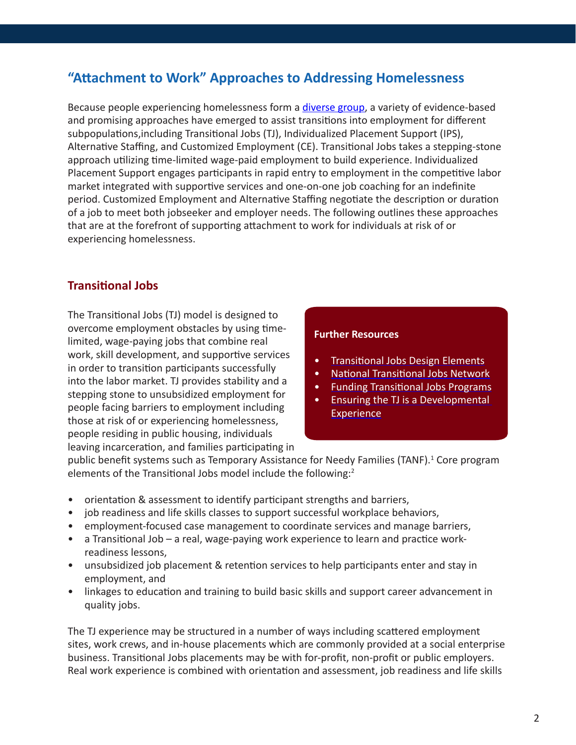## <span id="page-1-0"></span>**"Attachment to Work" Approaches to Addressing Homelessness**

Because people experiencing homelessness form a *[diverse group](http://www.heartlandalliance.org/ntjn/ntjn-weh-populations-1-24-2012.pdf)*, a variety of evidence-based and promising approaches have emerged to assist transitions into employment for different subpopulations,including Transitional Jobs (TJ), Individualized Placement Support (IPS), Alternative Staffing, and Customized Employment (CE). Transitional Jobs takes a stepping-stone approach utilizing time-limited wage-paid employment to build experience. Individualized Placement Support engages participants in rapid entry to employment in the competitive labor market integrated with supportive services and one-on-one job coaching for an indefinite period. Customized Employment and Alternative Staffing negotiate the description or duration of a job to meet both jobseeker and employer needs. The following outlines these approaches that are at the forefront of supporting attachment to work for individuals at risk of or experiencing homelessness.

## **Transitional Jobs**

The Transitional Jobs (TJ) model is designed to overcome employment obstacles by using timelimited, wage-paying jobs that combine real work, skill development, and supportive services in order to transition participants successfully into the labor market. TJ provides stability and a stepping stone to unsubsidized employment for people facing barriers to employment including those at risk of or experiencing homelessness, people residing in public housing, individuals leaving incarceration, and families participating in

## **Further Resources**

- [Transitional Jobs Design Elements](http://www.scribd.com/doc/59499221/Transitional-Jobs-Program-Design-Elements)
- [National Transitional Jobs Network](http://www.heartlandalliance.org/ntjn)
- [Funding Transitional Jobs Programs](http://www.scribd.com/doc/59497141/Funding-Transitional-Jobs-Programs-Identifying-Sources-and-Developing-Proposals)
- [Ensuring the TJ is a Developmental](http://www.scribd.com/doc/61239699/Ensuring-that-the-Transitional-Job-is-a-Developmental-Experience)  **[Experience](http://www.scribd.com/doc/61239699/Ensuring-that-the-Transitional-Job-is-a-Developmental-Experience)**

public benefit systems such as Temporary Assistance for Needy Families (TANF).<sup>1</sup> Core program elements of the Transitional Jobs model include the following:<sup>2</sup>

- orientation & assessment to identify participant strengths and barriers,
- job readiness and life skills classes to support successful workplace behaviors,
- employment-focused case management to coordinate services and manage barriers,
- a Transitional Job a real, wage-paying work experience to learn and practice workreadiness lessons,
- unsubsidized job placement & retention services to help participants enter and stay in employment, and
- linkages to education and training to build basic skills and support career advancement in quality jobs.

The TJ experience may be structured in a number of ways including scattered employment sites, work crews, and in-house placements which are commonly provided at a social enterprise business. Transitional Jobs placements may be with for-profit, non-profit or public employers. Real work experience is combined with orientation and assessment, job readiness and life skills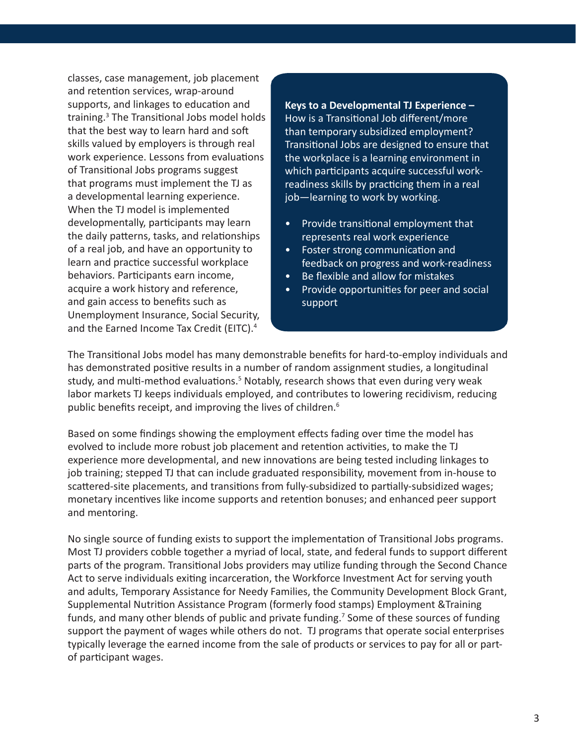classes, case management, job placement and retention services, wrap-around supports, and linkages to education and training.<sup>3</sup> The Transitional Jobs model holds that the best way to learn hard and soft skills valued by employers is through real work experience. Lessons from evaluations of Transitional Jobs programs suggest that programs must implement the TJ as a developmental learning experience. When the TJ model is implemented developmentally, participants may learn the daily patterns, tasks, and relationships of a real job, and have an opportunity to learn and practice successful workplace behaviors. Participants earn income, acquire a work history and reference, and gain access to benefits such as Unemployment Insurance, Social Security, and the Earned Income Tax Credit (EITC).<sup>4</sup>

**Keys to a Developmental TJ Experience –**  How is a Transitional Job different/more than temporary subsidized employment? Transitional Jobs are designed to ensure that the workplace is a learning environment in which participants acquire successful workreadiness skills by practicing them in a real job—learning to work by working.

- Provide transitional employment that represents real work experience
- Foster strong communication and feedback on progress and work-readiness
- Be flexible and allow for mistakes
- Provide opportunities for peer and social support

The Transitional Jobs model has many demonstrable benefits for hard-to-employ individuals and has demonstrated positive results in a number of random assignment studies, a longitudinal study, and multi-method evaluations.<sup>5</sup> Notably, research shows that even during very weak labor markets TJ keeps individuals employed, and contributes to lowering recidivism, reducing public benefits receipt, and improving the lives of children.<sup>6</sup>

Based on some findings showing the employment effects fading over time the model has evolved to include more robust job placement and retention activities, to make the TJ experience more developmental, and new innovations are being tested including linkages to job training; stepped TJ that can include graduated responsibility, movement from in-house to scattered-site placements, and transitions from fully-subsidized to partially-subsidized wages; monetary incentives like income supports and retention bonuses; and enhanced peer support and mentoring.

No single source of funding exists to support the implementation of Transitional Jobs programs. Most TJ providers cobble together a myriad of local, state, and federal funds to support different parts of the program. Transitional Jobs providers may utilize funding through the Second Chance Act to serve individuals exiting incarceration, the Workforce Investment Act for serving youth and adults, Temporary Assistance for Needy Families, the Community Development Block Grant, Supplemental Nutrition Assistance Program (formerly food stamps) Employment &Training funds, and many other blends of public and private funding.<sup>7</sup> Some of these sources of funding support the payment of wages while others do not. TJ programs that operate social enterprises typically leverage the earned income from the sale of products or services to pay for all or partof participant wages.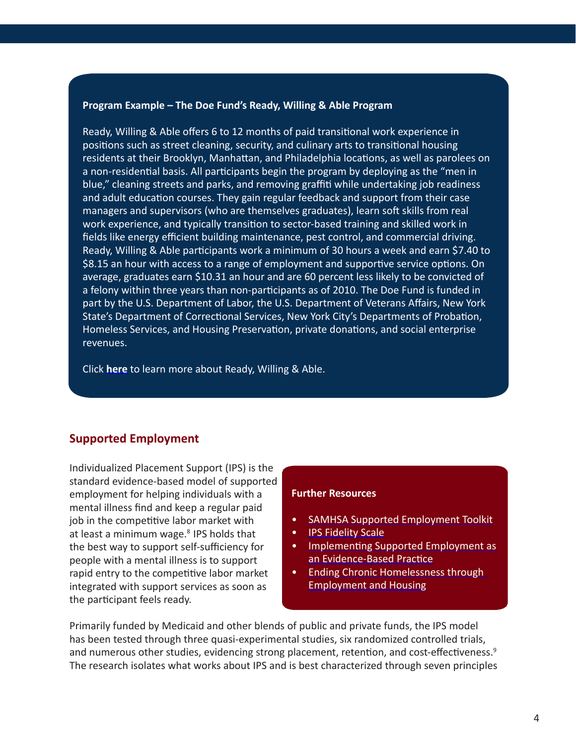#### <span id="page-3-0"></span>**Program Example – The Doe Fund's Ready, Willing & Able Program**

Ready, Willing & Able offers 6 to 12 months of paid transitional work experience in positions such as street cleaning, security, and culinary arts to transitional housing residents at their Brooklyn, Manhattan, and Philadelphia locations, as well as parolees on a non-residential basis. All participants begin the program by deploying as the "men in blue," cleaning streets and parks, and removing graffiti while undertaking job readiness and adult education courses. They gain regular feedback and support from their case managers and supervisors (who are themselves graduates), learn soft skills from real work experience, and typically transition to sector-based training and skilled work in fields like energy efficient building maintenance, pest control, and commercial driving. Ready, Willing & Able participants work a minimum of 30 hours a week and earn \$7.40 to \$8.15 an hour with access to a range of employment and supportive service options. On average, graduates earn \$10.31 an hour and are 60 percent less likely to be convicted of a felony within three years than non-participants as of 2010. The Doe Fund is funded in part by the U.S. Department of Labor, the U.S. Department of Veterans Affairs, New York State's Department of Correctional Services, New York City's Departments of Probation, Homeless Services, and Housing Preservation, private donations, and social enterprise revenues.

Click **[here](http://www.doe.org/programs/?programID=1)** to learn more about Ready, Willing & Able.

## **Supported Employment**

Individualized Placement Support (IPS) is the standard evidence-based model of supported employment for helping individuals with a mental illness find and keep a regular paid job in the competitive labor market with at least a minimum wage. $8$  IPS holds that the best way to support self-sufficiency for people with a mental illness is to support rapid entry to the competitive labor market integrated with support services as soon as the participant feels ready.

#### **Further Resources**

- [SAMHSA Supported Employment Toolkit](http://store.samhsa.gov/shin/content/SMA08-4365/TheEvidence-SE.pdf)
- [IPS Fidelity Scale](http://www.dartmouth.edu/~ips/page19/page21/files/se-fidelity-scale002c-2008.pdf)
- [Implementing Supported Employment as](http://homeless.samhsa.gov/ResourceFiles/xlmmq4lq.pdf)  [an Evidence-Based Practice](http://homeless.samhsa.gov/ResourceFiles/xlmmq4lq.pdf)
- [Ending Chronic Homelessness through](http://www.csh.org/wp-content/uploads/2011/12/Report_CHETA_ProgamPolicy_Handbook.pdf)  [Employment and Housing](http://www.csh.org/wp-content/uploads/2011/12/Report_CHETA_ProgamPolicy_Handbook.pdf)

Primarily funded by Medicaid and other blends of public and private funds, the IPS model has been tested through three quasi-experimental studies, six randomized controlled trials, and numerous other studies, evidencing strong placement, retention, and cost-effectiveness.<sup>9</sup> The research isolates what works about IPS and is best characterized through seven principles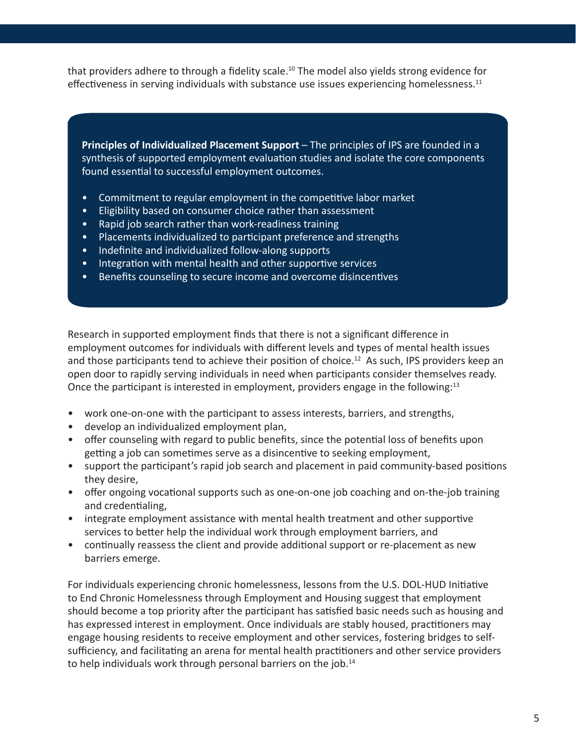that providers adhere to through a fidelity scale.<sup>10</sup> The model also yields strong evidence for effectiveness in serving individuals with substance use issues experiencing homelessness.<sup>11</sup>

**Principles of Individualized Placement Support** – The principles of IPS are founded in a synthesis of supported employment evaluation studies and isolate the core components found essential to successful employment outcomes.

- Commitment to regular employment in the competitive labor market
- Eligibility based on consumer choice rather than assessment
- Rapid job search rather than work-readiness training
- Placements individualized to participant preference and strengths
- Indefinite and individualized follow-along supports
- Integration with mental health and other supportive services
- Benefits counseling to secure income and overcome disincentives

Research in supported employment finds that there is not a significant difference in employment outcomes for individuals with different levels and types of mental health issues and those participants tend to achieve their position of choice.<sup>12</sup> As such, IPS providers keep an open door to rapidly serving individuals in need when participants consider themselves ready. Once the participant is interested in employment, providers engage in the following:<sup>13</sup>

- work one-on-one with the participant to assess interests, barriers, and strengths,
- develop an individualized employment plan,
- offer counseling with regard to public benefits, since the potential loss of benefits upon getting a job can sometimes serve as a disincentive to seeking employment,
- support the participant's rapid job search and placement in paid community-based positions they desire,
- offer ongoing vocational supports such as one-on-one job coaching and on-the-job training and credentialing,
- integrate employment assistance with mental health treatment and other supportive services to better help the individual work through employment barriers, and
- continually reassess the client and provide additional support or re-placement as new barriers emerge.

For individuals experiencing chronic homelessness, lessons from the U.S. DOL-HUD Initiative to End Chronic Homelessness through Employment and Housing suggest that employment should become a top priority after the participant has satisfied basic needs such as housing and has expressed interest in employment. Once individuals are stably housed, practitioners may engage housing residents to receive employment and other services, fostering bridges to selfsufficiency, and facilitating an arena for mental health practitioners and other service providers to help individuals work through personal barriers on the job.<sup>14</sup>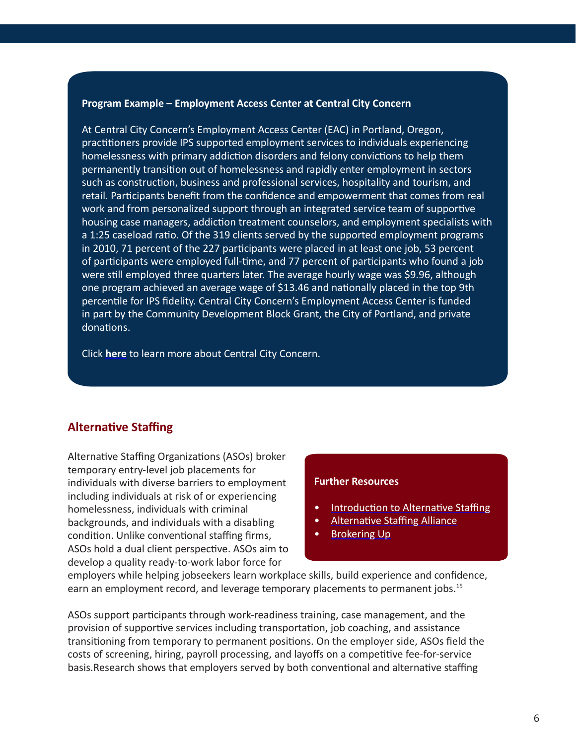#### <span id="page-5-0"></span>**Program Example – Employment Access Center at Central City Concern**

At Central City Concern's Employment Access Center (EAC) in Portland, Oregon, practitioners provide IPS supported employment services to individuals experiencing homelessness with primary addiction disorders and felony convictions to help them permanently transition out of homelessness and rapidly enter employment in sectors such as construction, business and professional services, hospitality and tourism, and retail. Participants benefit from the confidence and empowerment that comes from real work and from personalized support through an integrated service team of supportive housing case managers, addiction treatment counselors, and employment specialists with a 1:25 caseload ratio. Of the 319 clients served by the supported employment programs in 2010, 71 percent of the 227 participants were placed in at least one job, 53 percent of participants were employed full-time, and 77 percent of participants who found a job were still employed three quarters later. The average hourly wage was \$9.96, although one program achieved an average wage of \$13.46 and nationally placed in the top 9th percentile for IPS fidelity. Central City Concern's Employment Access Center is funded in part by the Community Development Block Grant, the City of Portland, and private donations.

Click **[here](http://www.centralcityconcern.org)** to learn more about Central City Concern.

## **Alternative Staffing**

Alternative Staffing Organizations (ASOs) broker temporary entry-level job placements for individuals with diverse barriers to employment including individuals at risk of or experiencing homelessness, individuals with criminal backgrounds, and individuals with a disabling condition. Unlike conventional staffing firms, ASOs hold a dual client perspective. ASOs aim to develop a quality ready-to-work labor force for

#### **Further Resources**

- [Introduction to Alternative Staffing](http://www.altstaffing.org/IntroGuide_7-7-08.pdf)
- [Alternative Staffing Alliance](http://www.altstaffing.org/)
- [Brokering Up](http://scholarworks.umb.edu/cgi/viewcontent.cgi?article=1007&context=csp_pubs&sei-redir=1&referer=http%3A%2F%2Fwww.google.com%2Fsearch%3Fq%3Dbrokering%2Bup%2Bppv%26rls%3Dcom.microsoft%3A%2A%26ie%3DUTF-8%26oe%3DUTF-8%26startIndex%3D%26startPage%3D1%26safe%253)

employers while helping jobseekers learn workplace skills, build experience and confidence, earn an employment record, and leverage temporary placements to permanent jobs.<sup>15</sup>

ASOs support participants through work-readiness training, case management, and the provision of supportive services including transportation, job coaching, and assistance transitioning from temporary to permanent positions. On the employer side, ASOs field the costs of screening, hiring, payroll processing, and layoffs on a competitive fee-for-service basis.Research shows that employers served by both conventional and alternative staffing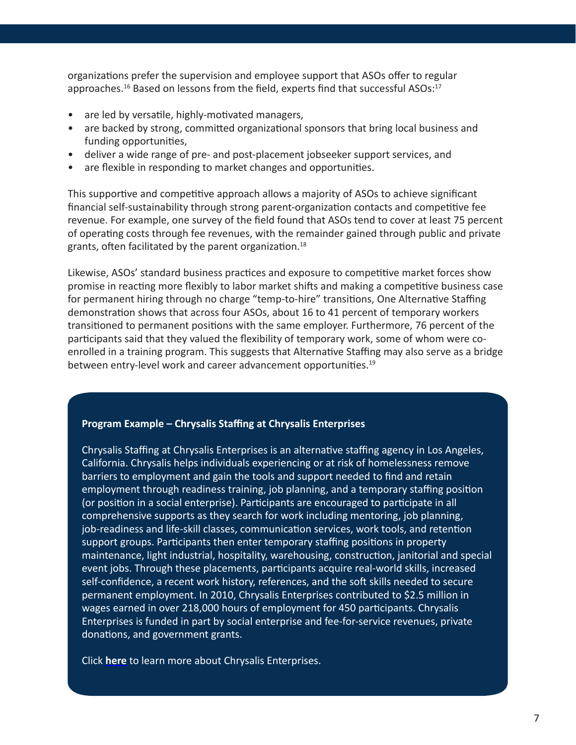organizations prefer the supervision and employee support that ASOs offer to regular approaches.<sup>16</sup> Based on lessons from the field, experts find that successful ASOs:<sup>17</sup>

- are led by versatile, highly-motivated managers,
- are backed by strong, committed organizational sponsors that bring local business and funding opportunities,
- deliver a wide range of pre- and post-placement jobseeker support services, and
- are flexible in responding to market changes and opportunities.

This supportive and competitive approach allows a majority of ASOs to achieve significant financial self-sustainability through strong parent-organization contacts and competitive fee revenue. For example, one survey of the field found that ASOs tend to cover at least 75 percent of operating costs through fee revenues, with the remainder gained through public and private grants, often facilitated by the parent organization.18

Likewise, ASOs' standard business practices and exposure to competitive market forces show promise in reacting more flexibly to labor market shifts and making a competitive business case for permanent hiring through no charge "temp-to-hire" transitions, One Alternative Staffing demonstration shows that across four ASOs, about 16 to 41 percent of temporary workers transitioned to permanent positions with the same employer. Furthermore, 76 percent of the participants said that they valued the flexibility of temporary work, some of whom were coenrolled in a training program. This suggests that Alternative Staffing may also serve as a bridge between entry-level work and career advancement opportunities.<sup>19</sup>

#### **Program Example – Chrysalis Staffing at Chrysalis Enterprises**

Chrysalis Staffing at Chrysalis Enterprises is an alternative staffing agency in Los Angeles, California. Chrysalis helps individuals experiencing or at risk of homelessness remove barriers to employment and gain the tools and support needed to find and retain employment through readiness training, job planning, and a temporary staffing position (or position in a social enterprise). Participants are encouraged to participate in all comprehensive supports as they search for work including mentoring, job planning, job-readiness and life-skill classes, communication services, work tools, and retention support groups. Participants then enter temporary staffing positions in property maintenance, light industrial, hospitality, warehousing, construction, janitorial and special event jobs. Through these placements, participants acquire real-world skills, increased self-confidence, a recent work history, references, and the soft skills needed to secure permanent employment. In 2010, Chrysalis Enterprises contributed to \$2.5 million in wages earned in over 218,000 hours of employment for 450 participants. Chrysalis Enterprises is funded in part by social enterprise and fee-for-service revenues, private donations, and government grants.

Click **[here](http://www.changelives.org/)** to learn more about Chrysalis Enterprises.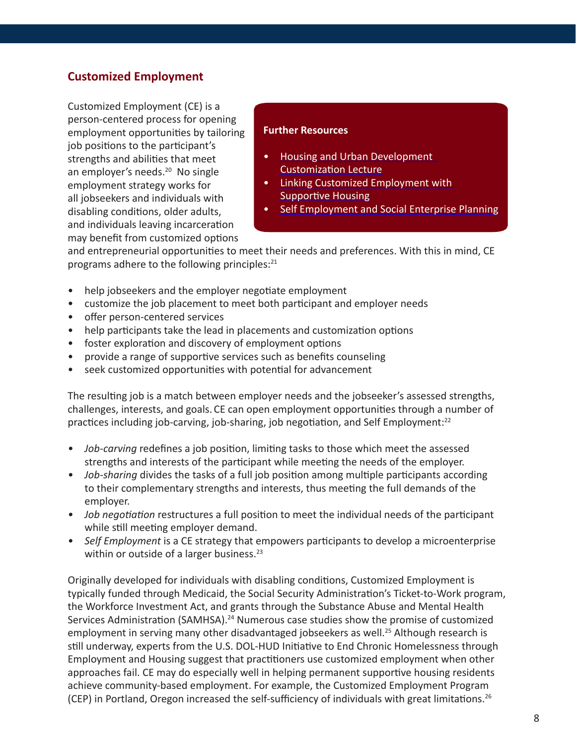## <span id="page-7-0"></span>**Customized Employment**

Customized Employment (CE) is a person-centered process for opening employment opportunities by tailoring job positions to the participant's strengths and abilities that meet an employer's needs.<sup>20</sup> No single employment strategy works for all jobseekers and individuals with disabling conditions, older adults, and individuals leaving incarceration may benefit from customized options

### **Further Resources**

- [Housing and Urban Development](http://www.hudhre.info/documents/AudioLecture7_Script.pdf)  [Customization Lecture](http://www.hudhre.info/documents/AudioLecture7_Script.pdf)
- [Linking Customized Employment with](http://documents.csh.org/documents/ke/toolkit-ending-homelessness/cep.pdf)
- [Supportive Housing](http://documents.csh.org/documents/ke/toolkit-ending-homelessness/cep.pdf)
- [Self Employment and Social Enterprise Planning](http://bbi.syr.edu/nvtac/publications/briefing_papers/work_priority_self_employment.htm)

and entrepreneurial opportunities to meet their needs and preferences. With this in mind, CE programs adhere to the following principles:<sup>21</sup>

- help jobseekers and the employer negotiate employment
- customize the job placement to meet both participant and employer needs
- offer person-centered services
- help participants take the lead in placements and customization options
- foster exploration and discovery of employment options
- provide a range of supportive services such as benefits counseling
- seek customized opportunities with potential for advancement

The resulting job is a match between employer needs and the jobseeker's assessed strengths, challenges, interests, and goals. CE can open employment opportunities through a number of practices including job-carving, job-sharing, job negotiation, and Self Employment:<sup>22</sup>

- *• Job-carving* redefines a job position, limiting tasks to those which meet the assessed strengths and interests of the participant while meeting the needs of the employer.
- *• Job-sharing* divides the tasks of a full job position among multiple participants according to their complementary strengths and interests, thus meeting the full demands of the employer.
- *• Job negotiation* restructures a full position to meet the individual needs of the participant while still meeting employer demand.
- *• Self Employment* is a CE strategy that empowers participants to develop a microenterprise within or outside of a larger business.<sup>23</sup>

Originally developed for individuals with disabling conditions, Customized Employment is typically funded through Medicaid, the Social Security Administration's Ticket-to-Work program, the Workforce Investment Act, and grants through the Substance Abuse and Mental Health Services Administration (SAMHSA).<sup>24</sup> Numerous case studies show the promise of customized employment in serving many other disadvantaged jobseekers as well.<sup>25</sup> Although research is still underway, experts from the U.S. DOL-HUD Initiative to End Chronic Homelessness through Employment and Housing suggest that practitioners use customized employment when other approaches fail. CE may do especially well in helping permanent supportive housing residents achieve community-based employment. For example, the Customized Employment Program (CEP) in Portland, Oregon increased the self-sufficiency of individuals with great limitations.26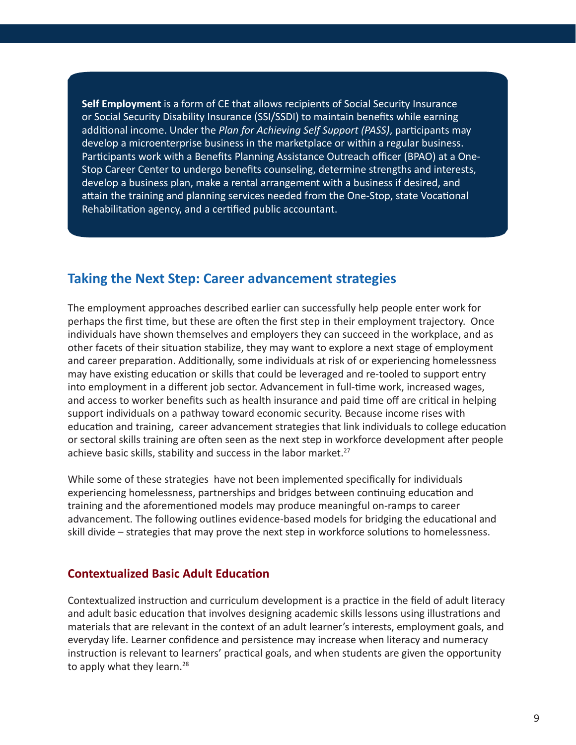<span id="page-8-0"></span>**Self Employment** is a form of CE that allows recipients of Social Security Insurance or Social Security Disability Insurance (SSI/SSDI) to maintain benefits while earning additional income. Under the *Plan for Achieving Self Support (PASS)*, participants may develop a microenterprise business in the marketplace or within a regular business. Participants work with a Benefits Planning Assistance Outreach officer (BPAO) at a One-Stop Career Center to undergo benefits counseling, determine strengths and interests, develop a business plan, make a rental arrangement with a business if desired, and attain the training and planning services needed from the One-Stop, state Vocational Rehabilitation agency, and a certified public accountant.

## **Taking the Next Step: Career advancement strategies**

The employment approaches described earlier can successfully help people enter work for perhaps the first time, but these are often the first step in their employment trajectory. Once individuals have shown themselves and employers they can succeed in the workplace, and as other facets of their situation stabilize, they may want to explore a next stage of employment and career preparation. Additionally, some individuals at risk of or experiencing homelessness may have existing education or skills that could be leveraged and re-tooled to support entry into employment in a different job sector. Advancement in full-time work, increased wages, and access to worker benefits such as health insurance and paid time off are critical in helping support individuals on a pathway toward economic security. Because income rises with education and training, career advancement strategies that link individuals to college education or sectoral skills training are often seen as the next step in workforce development after people achieve basic skills, stability and success in the labor market.<sup>27</sup>

While some of these strategies have not been implemented specifically for individuals experiencing homelessness, partnerships and bridges between continuing education and training and the aforementioned models may produce meaningful on-ramps to career advancement. The following outlines evidence-based models for bridging the educational and skill divide – strategies that may prove the next step in workforce solutions to homelessness.

## **Contextualized Basic Adult Education**

Contextualized instruction and curriculum development is a practice in the field of adult literacy and adult basic education that involves designing academic skills lessons using illustrations and materials that are relevant in the context of an adult learner's interests, employment goals, and everyday life. Learner confidence and persistence may increase when literacy and numeracy instruction is relevant to learners' practical goals, and when students are given the opportunity to apply what they learn.<sup>28</sup>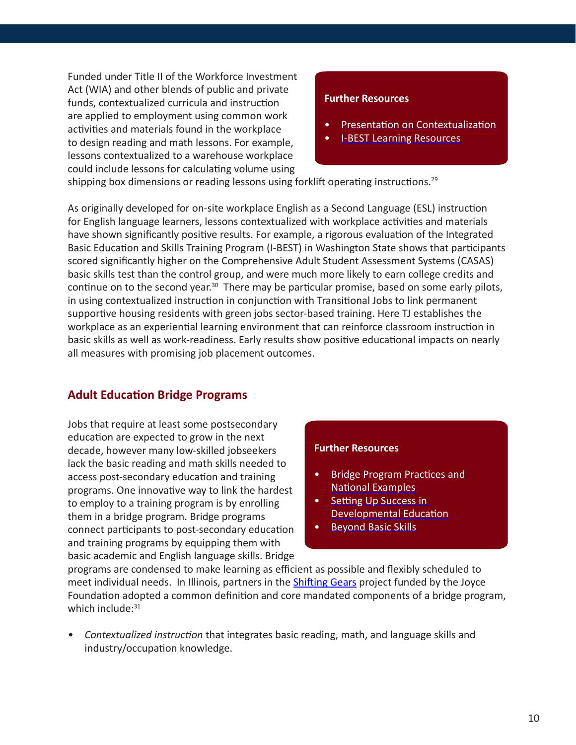<span id="page-9-0"></span>Funded under Title II of the Workforce Investment Act (WIA) and other blends of public and private funds, contextualized curricula and instruction are applied to employment using common work activities and materials found in the workplace to design reading and math lessons. For example, lessons contextualized to a warehouse workplace could include lessons for calculating volume using

## **Further Resources**

- [Presentation on Contextualization](http://occrl.illinois.edu/files/Projects/shifting_gears/Presentation/Perin-CCRC.pdf)
- [I-BEST Learning Resources](http://flightline.highline.edu/ibest/)

shipping box dimensions or reading lessons using forklift operating instructions.<sup>29</sup>

As originally developed for on-site workplace English as a Second Language (ESL) instruction for English language learners, lessons contextualized with workplace activities and materials have shown significantly positive results. For example, a rigorous evaluation of the Integrated Basic Education and Skills Training Program (I-BEST) in Washington State shows that participants scored significantly higher on the Comprehensive Adult Student Assessment Systems (CASAS) basic skills test than the control group, and were much more likely to earn college credits and continue on to the second year.<sup>30</sup> There may be particular promise, based on some early pilots, in using contextualized instruction in conjunction with Transitional Jobs to link permanent supportive housing residents with green jobs sector-based training. Here TJ establishes the workplace as an experiential learning environment that can reinforce classroom instruction in basic skills as well as work-readiness. Early results show positive educational impacts on nearly all measures with promising job placement outcomes.

## **Adult Education Bridge Programs**

Jobs that require at least some postsecondary education are expected to grow in the next decade, however many low-skilled jobseekers lack the basic reading and math skills needed to access post-secondary education and training programs. One innovative way to link the hardest to employ to a training program is by enrolling them in a bridge program. Bridge programs connect participants to post-secondary education and training programs by equipping them with basic academic and English language skills. Bridge

#### **Further Resources**

- [Bridge Program Practices and](http://www.shifting-gears.org/transforming-basic-skills-services/53-transforming-basic-skills-services.html)  [National Examples](http://www.shifting-gears.org/transforming-basic-skills-services/53-transforming-basic-skills-services.html)
- [Setting Up Success in](http://www.jff.org/sites/default/files/AtD_brief_success_082609.pdf)  [Developmental Education](http://www.jff.org/sites/default/files/AtD_brief_success_082609.pdf)
- [Beyond Basic Skills](http://www.clasp.org/admin/site/publications/files/Beyond-Basic-Skills-March-2011.pdf)

programs are condensed to make learning as efficient as possible and flexibly scheduled to meet individual needs. In Illinois, partners in the **[Shifting Gears](http://www.shifting-gears.org/illinois/61-state-progress-illinois-.html) project funded by the Joyce** Foundation adopted a common definition and core mandated components of a bridge program, which include: $31$ 

*• Contextualized instruction* that integrates basic reading, math, and language skills and industry/occupation knowledge.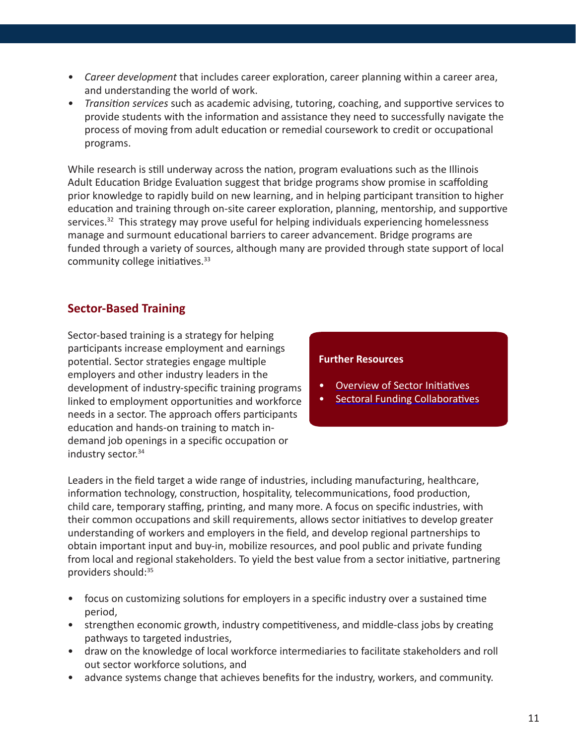- <span id="page-10-0"></span>*• Career development* that includes career exploration, career planning within a career area, and understanding the world of work.
- *• Transition services* such as academic advising, tutoring, coaching, and supportive services to provide students with the information and assistance they need to successfully navigate the process of moving from adult education or remedial coursework to credit or occupational programs.

While research is still underway across the nation, program evaluations such as the Illinois Adult Education Bridge Evaluation suggest that bridge programs show promise in scaffolding prior knowledge to rapidly build on new learning, and in helping participant transition to higher education and training through on-site career exploration, planning, mentorship, and supportive services.<sup>32</sup> This strategy may prove useful for helping individuals experiencing homelessness manage and surmount educational barriers to career advancement. Bridge programs are funded through a variety of sources, although many are provided through state support of local community college initiatives.<sup>33</sup>

## **Sector-Based Training**

Sector-based training is a strategy for helping participants increase employment and earnings potential. Sector strategies engage multiple employers and other industry leaders in the development of industry-specific training programs linked to employment opportunities and workforce needs in a sector. The approach offers participants education and hands-on training to match indemand job openings in a specific occupation or industry sector.<sup>34</sup>

## **Further Resources**

- [Overview of Sector Initiatives](http://www.insightcced.org/uploads/nnsp/what-is-a-sector-initiative.pdf)
- [Sectoral Funding Collaboratives](http://www.insightcced.org/uploads/publications/wd/Funding Collaboratives and Sector.pdf)

Leaders in the field target a wide range of industries, including manufacturing, healthcare, information technology, construction, hospitality, telecommunications, food production, child care, temporary staffing, printing, and many more. A focus on specific industries, with their common occupations and skill requirements, allows sector initiatives to develop greater understanding of workers and employers in the field, and develop regional partnerships to obtain important input and buy-in, mobilize resources, and pool public and private funding from local and regional stakeholders. To yield the best value from a sector initiative, partnering providers should:<sup>35</sup>

- focus on customizing solutions for employers in a specific industry over a sustained time period,
- strengthen economic growth, industry competitiveness, and middle-class jobs by creating pathways to targeted industries,
- draw on the knowledge of local workforce intermediaries to facilitate stakeholders and roll out sector workforce solutions, and
- advance systems change that achieves benefits for the industry, workers, and community.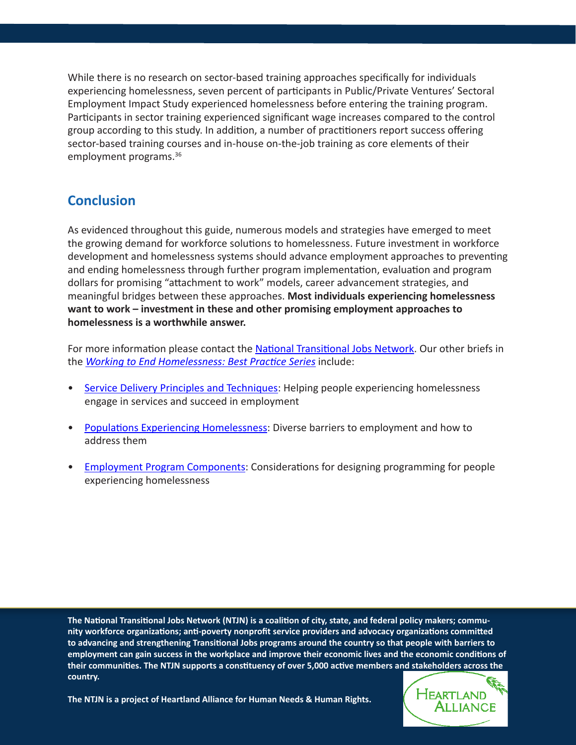While there is no research on sector-based training approaches specifically for individuals experiencing homelessness, seven percent of participants in Public/Private Ventures' Sectoral Employment Impact Study experienced homelessness before entering the training program. Participants in sector training experienced significant wage increases compared to the control group according to this study. In addition, a number of practitioners report success offering sector-based training courses and in-house on-the-job training as core elements of their employment programs.36

## **Conclusion**

As evidenced throughout this guide, numerous models and strategies have emerged to meet the growing demand for workforce solutions to homelessness. Future investment in workforce development and homelessness systems should advance employment approaches to preventing and ending homelessness through further program implementation, evaluation and program dollars for promising "attachment to work" models, career advancement strategies, and meaningful bridges between these approaches. **Most individuals experiencing homelessness want to work – investment in these and other promising employment approaches to homelessness is a worthwhile answer.**

For more information please contact the [National Transitional Jobs Network](mailto:ntjn%40heartlandalliance.org?subject=). Our other briefs in the *Working to End Homelessness: Best Practice Series* include:

- Service Delivery Principles and Techniques: Helping people experiencing homelessness engage in services and succeed in employment
- Populations Experiencing Homelessness: Diverse barriers to employment and how to address them
- Employment Program Components: Considerations for designing programming for people experiencing homelessness

**The National Transitional Jobs Network (NTJN) is a coalition of city, state, and federal policy makers; community workforce organizations; anti-poverty nonprofit service providers and advocacy organizations committed to advancing and strengthening Transitional Jobs programs around the country so that people with barriers to employment can gain success in the workplace and improve their economic lives and the economic conditions of their communities. The NTJN supports a constituency of over 5,000 active members and stakeholders across the country.** 



**The NTJN is a project of Heartland Alliance for Human Needs & Human Rights.**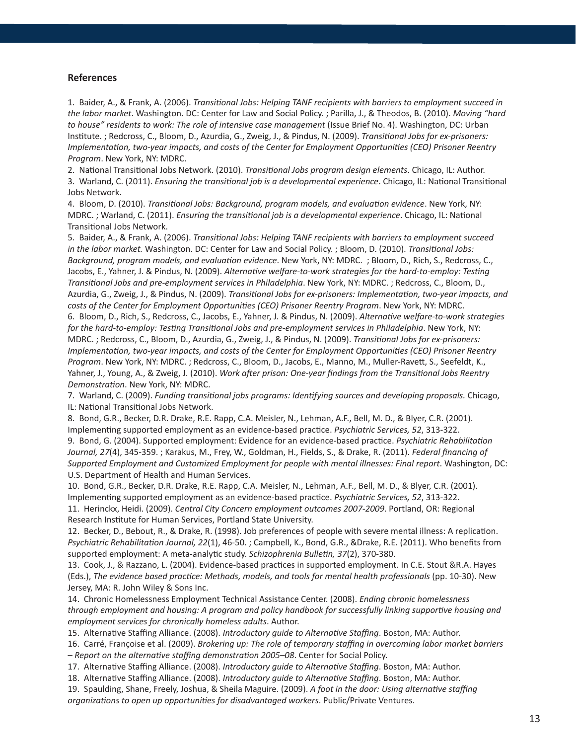#### **References**

1. Baider, A., & Frank, A. (2006). *Transitional Jobs: Helping TANF recipients with barriers to employment succeed in the labor market*. Washington. DC: Center for Law and Social Policy. ; Parilla, J., & Theodos, B. (2010). *Moving "hard to house" residents to work: The role of intensive case management* (Issue Brief No. 4). Washington, DC: Urban Institute. ; Redcross, C., Bloom, D., Azurdia, G., Zweig, J., & Pindus, N. (2009). *Transitional Jobs for ex-prisoners: Implementation, two-year impacts, and costs of the Center for Employment Opportunities (CEO) Prisoner Reentry Program*. New York, NY: MDRC.

2. National Transitional Jobs Network. (2010). *Transitional Jobs program design elements*. Chicago, IL: Author.

3. Warland, C. (2011). *Ensuring the transitional job is a developmental experience*. Chicago, IL: National Transitional Jobs Network.

4. Bloom, D. (2010). *Transitional Jobs: Background, program models, and evaluation evidence*. New York, NY: MDRC. ; Warland, C. (2011). *Ensuring the transitional job is a developmental experience*. Chicago, IL: National Transitional Jobs Network.

5. Baider, A., & Frank, A. (2006). *Transitional Jobs: Helping TANF recipients with barriers to employment succeed in the labor market.* Washington. DC: Center for Law and Social Policy. ; Bloom, D. (2010). *Transitional Jobs: Background, program models, and evaluation evidence*. New York, NY: MDRC. ; Bloom, D., Rich, S., Redcross, C., Jacobs, E., Yahner, J. & Pindus, N. (2009). *Alternative welfare-to-work strategies for the hard-to-employ: Testing Transitional Jobs and pre-employment services in Philadelphia*. New York, NY: MDRC. ; Redcross, C., Bloom, D., Azurdia, G., Zweig, J., & Pindus, N. (2009). *Transitional Jobs for ex-prisoners: Implementation, two-year impacts, and costs of the Center for Employment Opportunities (CEO) Prisoner Reentry Program*. New York, NY: MDRC. 6. Bloom, D., Rich, S., Redcross, C., Jacobs, E., Yahner, J. & Pindus, N. (2009). *Alternative welfare-to-work strategies for the hard-to-employ: Testing Transitional Jobs and pre-employment services in Philadelphia*. New York, NY: MDRC. ; Redcross, C., Bloom, D., Azurdia, G., Zweig, J., & Pindus, N. (2009). *Transitional Jobs for ex-prisoners: Implementation, two-year impacts, and costs of the Center for Employment Opportunities (CEO) Prisoner Reentry Program*. New York, NY: MDRC. ; Redcross, C., Bloom, D., Jacobs, E., Manno, M., Muller-Ravett, S., Seefeldt, K., Yahner, J., Young, A., & Zweig, J. (2010). *Work after prison: One-year findings from the Transitional Jobs Reentry Demonstration*. New York, NY: MDRC.

7. Warland, C. (2009). *Funding transitional jobs programs: Identifying sources and developing proposals.* Chicago, IL: National Transitional Jobs Network.

8. Bond, G.R., Becker, D.R. Drake, R.E. Rapp, C.A. Meisler, N., Lehman, A.F., Bell, M. D., & Blyer, C.R. (2001). Implementing supported employment as an evidence-based practice. *Psychiatric Services, 52*, 313-322.

9. Bond, G. (2004). Supported employment: Evidence for an evidence-based practice. *Psychiatric Rehabilitation Journal, 27*(4), 345-359. ; Karakus, M., Frey, W., Goldman, H., Fields, S., & Drake, R. (2011). *Federal financing of Supported Employment and Customized Employment for people with mental illnesses: Final report*. Washington, DC: U.S. Department of Health and Human Services.

10. Bond, G.R., Becker, D.R. Drake, R.E. Rapp, C.A. Meisler, N., Lehman, A.F., Bell, M. D., & Blyer, C.R. (2001). Implementing supported employment as an evidence-based practice. *Psychiatric Services, 52*, 313-322. 11. Herinckx, Heidi. (2009). *Central City Concern employment outcomes 2007-2009*. Portland, OR: Regional Research Institute for Human Services, Portland State University.

12. Becker, D., Bebout, R., & Drake, R. (1998). Job preferences of people with severe mental illness: A replication. *Psychiatric Rehabilitation Journal, 22*(1), 46-50. ; Campbell, K., Bond, G.R., &Drake, R.E. (2011). Who benefits from supported employment: A meta-analytic study. *Schizophrenia Bulletin, 37*(2), 370-380.

13. Cook, J., & Razzano, L. (2004). Evidence-based practices in supported employment. In C.E. Stout &R.A. Hayes (Eds.), *The evidence based practice: Methods, models, and tools for mental health professionals* (pp. 10-30). New Jersey, MA: R. John Wiley & Sons Inc.

14. Chronic Homelessness Employment Technical Assistance Center. (2008). *Ending chronic homelessness through employment and housing: A program and policy handbook for successfully linking supportive housing and employment services for chronically homeless adults*. Author.

15. Alternative Staffing Alliance. (2008). *Introductory guide to Alternative Staffing*. Boston, MA: Author.

16. Carré, Françoise et al. (2009). *Brokering up: The role of temporary staffing in overcoming labor market barriers – Report on the alternative staffing demonstration 2005–08*. Center for Social Policy.

17. Alternative Staffing Alliance. (2008). *Introductory guide to Alternative Staffing*. Boston, MA: Author.

18. Alternative Staffing Alliance. (2008). *Introductory guide to Alternative Staffing*. Boston, MA: Author.

19. Spaulding, Shane, Freely, Joshua, & Sheila Maguire. (2009). *A foot in the door: Using alternative staffing organizations to open up opportunities for disadvantaged workers*. Public/Private Ventures.